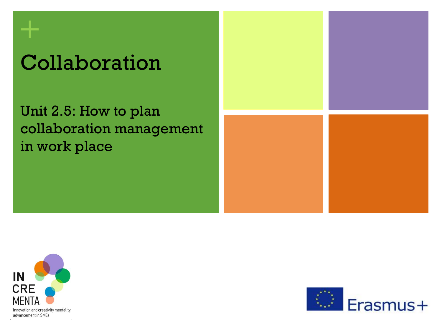# Collaboration

Unit 2.5: How to plan collaboration management in work place





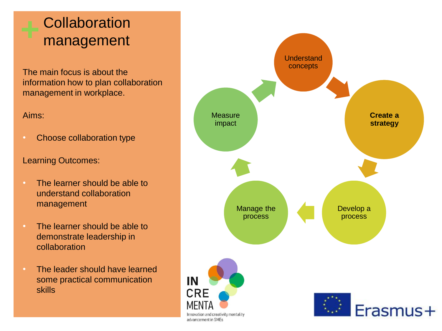## **Collaboration** management

The main focus is about the information how to plan collaboration management in workplace.

### Aims:

• Choose collaboration type

### Learning Outcomes:

- The learner should be able to understand collaboration management
- The learner should be able to demonstrate leadership in collaboration
- The leader should have learned some practical communication skills

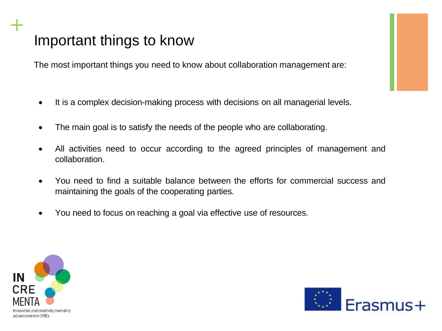## Important things to know

The most important things you need to know about collaboration management are:

- It is a complex decision-making process with decisions on all managerial levels.
- The main goal is to satisfy the needs of the people who are collaborating.
- All activities need to occur according to the agreed principles of management and collaboration.
- You need to find a suitable balance between the efforts for commercial success and maintaining the goals of the cooperating parties.
- You need to focus on reaching a goal via effective use of resources.



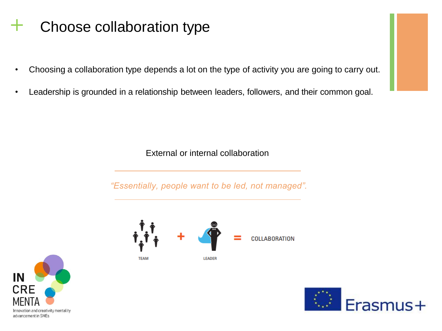## **+** Choose collaboration type

- Choosing a collaboration type depends a lot on the type of activity you are going to carry out.
- Leadership is grounded in a relationship between leaders, followers, and their common goal.

External or internal collaboration

*"Essentially, people want to be led, not managed".*





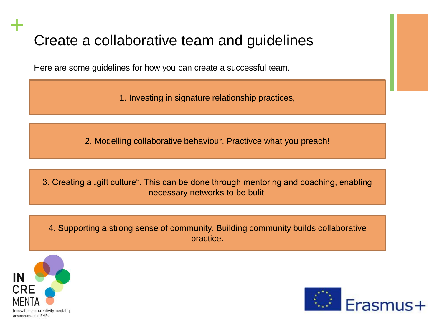## Create a collaborative team and guidelines

Here are some guidelines for how you can create a successful team.

1. Investing in signature relationship practices,

2. Modelling collaborative behaviour. Practivce what you preach!

3. Creating a "gift culture". This can be done through mentoring and coaching, enabling necessary networks to be bulit.

4. Supporting a strong sense of community. Building community builds collaborative practice.



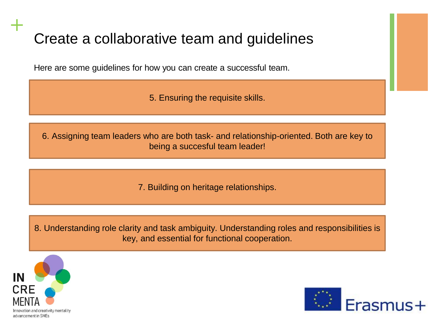## Create a collaborative team and guidelines

Here are some guidelines for how you can create a successful team.

5. Ensuring the requisite skills.

6. Assigning team leaders who are both task- and relationship-oriented. Both are key to being a succesful team leader!

7. Building on heritage relationships.

8. Understanding role clarity and task ambiguity. Understanding roles and responsibilities is key, and essential for functional cooperation.



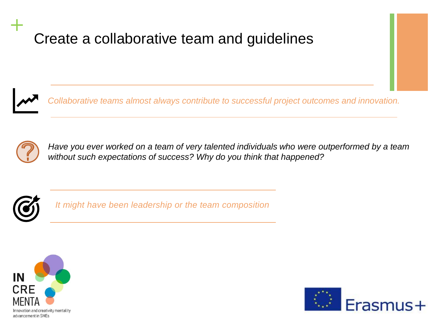## Create a collaborative team and guidelines



**+**

*Collaborative teams almost always contribute to successful project outcomes and innovation.* 



*Have you ever worked on a team of very talented individuals who were outperformed by a team without such expectations of success? Why do you think that happened?*



*It might have been leadership or the team composition*



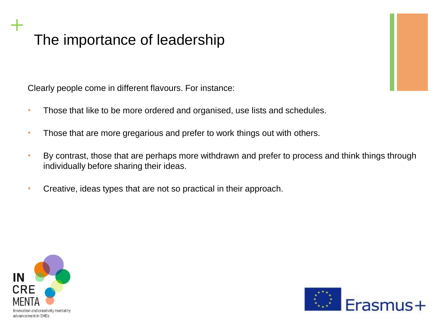## The importance of leadership

Clearly people come in different flavours. For instance:

- Those that like to be more ordered and organised, use lists and schedules.
- Those that are more gregarious and prefer to work things out with others.
- By contrast, those that are perhaps more withdrawn and prefer to process and think things through individually before sharing their ideas.
- Creative, ideas types that are not so practical in their approach.



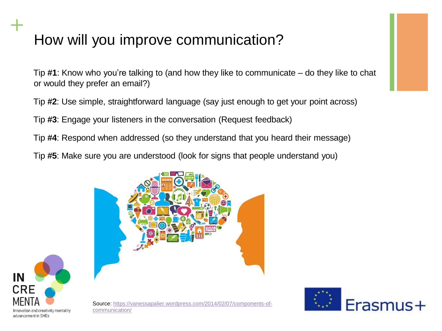## How will you improve communication?

**+**

Tip **#1**: Know who you're talking to (and how they like to communicate – do they like to chat or would they prefer an email?)

Tip **#2**: Use simple, straightforward language (say just enough to get your point across)

Tip **#3**: Engage your listeners in the conversation (Request feedback)

Tip **#4**: Respond when addressed (so they understand that you heard their message)

Tip **#5**: Make sure you are understood (look for signs that people understand you)



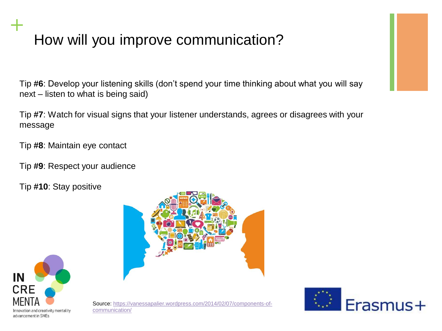## How will you improve communication?

Tip **#6**: Develop your listening skills (don't spend your time thinking about what you will say next – listen to what is being said)

Tip **#7**: Watch for visual signs that your listener understands, agrees or disagrees with your message

Tip **#8**: Maintain eye contact

Tip **#9**: Respect your audience

Tip **#10**: Stay positive







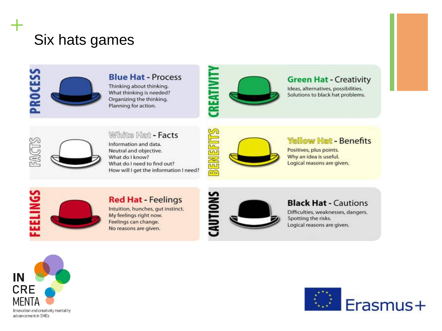## Six hats games



### **Blue Hat - Process**

Thinking about thinking. What thinking is needed? Organizing the thinking. Planning for action.



### **Green Hat - Creativity**

Ideas, alternatives, possibilities. Solutions to black hat problems.



**+**

### White Hat - Facts

Information and data. Neutral and objective. What do I know? What do I need to find out? How will I get the information I need?



#### **Yellow Hat - Benefits**

Positives, plus points. Why an idea is useful. Logical reasons are given.



### **Red Hat - Feelings**

Intuition, hunches, gut instinct. My feelings right now. Feelings can change. No reasons are given.



#### **Black Hat - Cautions**

Difficulties, weaknesses, dangers. Spotting the risks. Logical reasons are given.